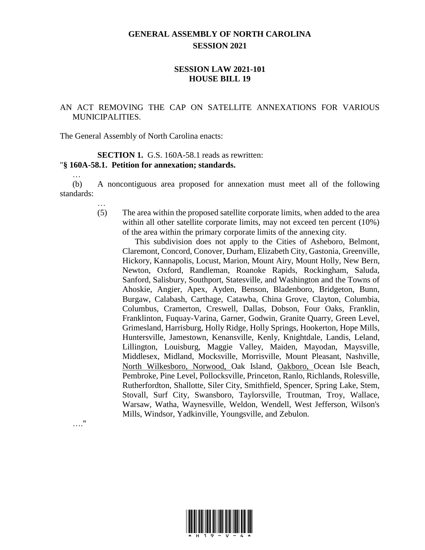## **GENERAL ASSEMBLY OF NORTH CAROLINA SESSION 2021**

## **SESSION LAW 2021-101 HOUSE BILL 19**

## AN ACT REMOVING THE CAP ON SATELLITE ANNEXATIONS FOR VARIOUS MUNICIPALITIES.

The General Assembly of North Carolina enacts:

## **SECTION 1.** G.S. 160A-58.1 reads as rewritten: "**§ 160A-58.1. Petition for annexation; standards.**

(b) A noncontiguous area proposed for annexation must meet all of the following standards:

…

…

(5) The area within the proposed satellite corporate limits, when added to the area within all other satellite corporate limits, may not exceed ten percent (10%) of the area within the primary corporate limits of the annexing city.

This subdivision does not apply to the Cities of Asheboro, Belmont, Claremont, Concord, Conover, Durham, Elizabeth City, Gastonia, Greenville, Hickory, Kannapolis, Locust, Marion, Mount Airy, Mount Holly, New Bern, Newton, Oxford, Randleman, Roanoke Rapids, Rockingham, Saluda, Sanford, Salisbury, Southport, Statesville, and Washington and the Towns of Ahoskie, Angier, Apex, Ayden, Benson, Bladenboro, Bridgeton, Bunn, Burgaw, Calabash, Carthage, Catawba, China Grove, Clayton, Columbia, Columbus, Cramerton, Creswell, Dallas, Dobson, Four Oaks, Franklin, Franklinton, Fuquay-Varina, Garner, Godwin, Granite Quarry, Green Level, Grimesland, Harrisburg, Holly Ridge, Holly Springs, Hookerton, Hope Mills, Huntersville, Jamestown, Kenansville, Kenly, Knightdale, Landis, Leland, Lillington, Louisburg, Maggie Valley, Maiden, Mayodan, Maysville, Middlesex, Midland, Mocksville, Morrisville, Mount Pleasant, Nashville, North Wilkesboro, Norwood, Oak Island, Oakboro, Ocean Isle Beach, Pembroke, Pine Level, Pollocksville, Princeton, Ranlo, Richlands, Rolesville, Rutherfordton, Shallotte, Siler City, Smithfield, Spencer, Spring Lake, Stem, Stovall, Surf City, Swansboro, Taylorsville, Troutman, Troy, Wallace, Warsaw, Watha, Waynesville, Weldon, Wendell, West Jefferson, Wilson's Mills, Windsor, Yadkinville, Youngsville, and Zebulon.

…."